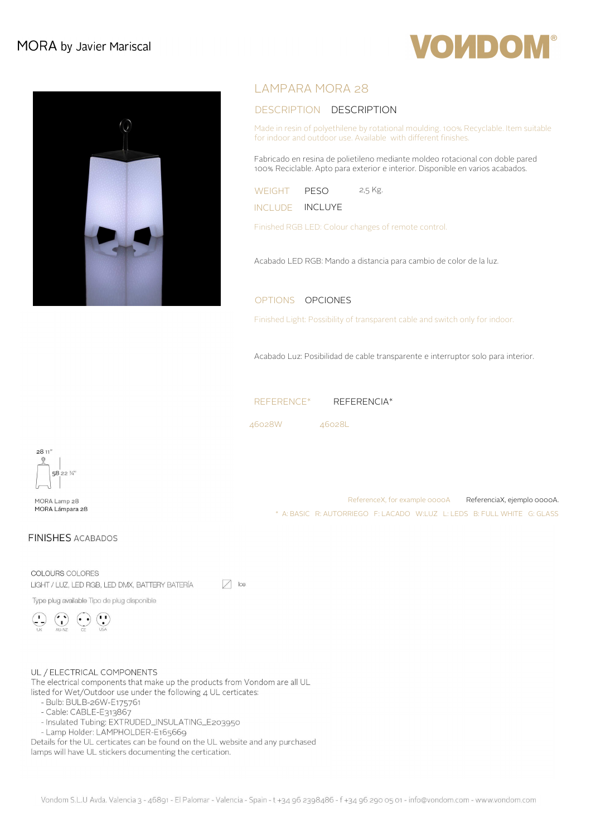# MORA by Javier Mariscal



## LAMPARA MORA 28

### DESCRIPTION DESCRIPTION

Made in resin of polyethilene by rotational moulding. 100% Recyclable. Item suitable for indoor and outdoor use. Available with different finishes.

**OUDOM®** 

Fabricado en resina de polietileno mediante moldeo rotacional con doble pared 100% Reciclable. Apto para exterior e interior. Disponible en varios acabados.

| WEIGHT          | PESO | 2,5 Kg. |
|-----------------|------|---------|
| INCLUDE INCLUYE |      |         |

Finished RGB LED: Colour changes of remote control.

Acabado LED RGB: Mando a distancia para cambio de color de la luz.

#### OPTIONS OPCIONES

Finished Light: Possibility of transparent cable and switch only for indoor.

Acabado Luz: Posibilidad de cable transparente e interruptor solo para interior.

\* A: BASIC R: AUTORRIEGO F: LACADO W:LUZ L: LEDS B: FULL WHITE G: GLASS

ReferenceX, for example 0000A ReferenciaX, ejemplo 0000A.

REFERENCE\* REFERENCIA\*

46028W 46028L



MORA Lamp 28 MORA Lámpara 28

### **FINISHES ACABADOS**

COLOURS COLORES  $\sqrt{ }$  Ice LIGHT / LUZ, LED RGB, LED DMX, BATTERY BATERÍA

Type plug available Tipo de plug disponible

UL / ELECTRICAL COMPONENTS

The electrical components that make up the products from Vondom are all UL listed for Wet/Outdoor use under the following 4 UL certicates:

- Bulb: BULB-26W-E175761
- Cable: CABLE-E313867
- Insulated Tubing: EXTRUDED\_INSULATING\_E203950
- Lamp Holder: LAMPHOLDER-E165669

Details for the UL certicates can be found on the UL website and any purchased lamps will have UL stickers documenting the certication.